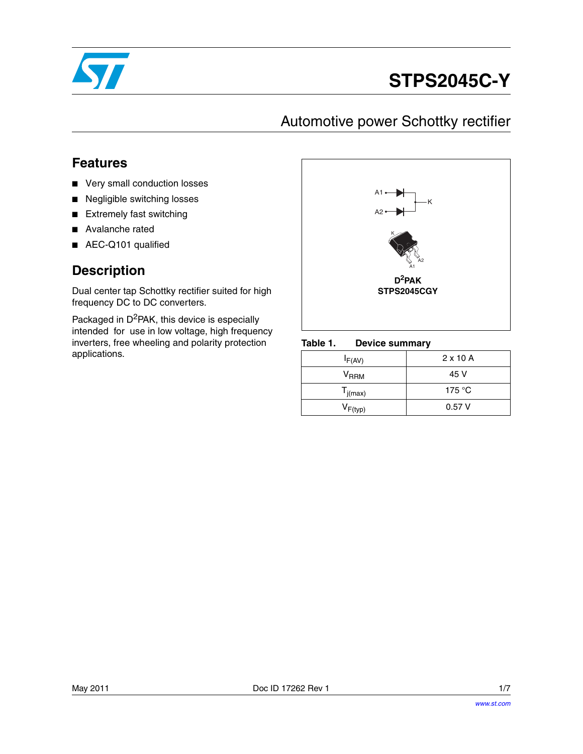

# **STPS2045C-Y**

## Automotive power Schottky rectifier

## **Features**

- Very small conduction losses
- Negligible switching losses
- Extremely fast switching
- Avalanche rated
- AEC-Q101 qualified

### **Description**

Dual center tap Schottky rectifier suited for high frequency DC to DC converters.

Packaged in  $D^2$ PAK, this device is especially intended for use in low voltage, high frequency inverters, free wheeling and polarity protection applications.



#### Table 1. **Device summary**

| $I_{F(AV)}$  | $2 \times 10$ A |
|--------------|-----------------|
| $V_{RRM}$    | 45 V            |
| $T_{j(max)}$ | 175 °C          |
| $V_{F(typ)}$ | 0.57V           |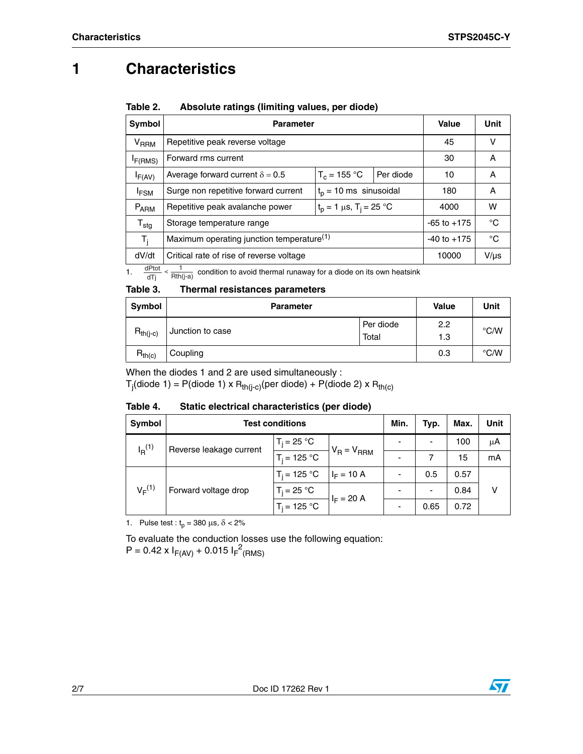## **1 Characteristics**

| Table 2. | Absolute ratings (limiting values, per diode) |  |
|----------|-----------------------------------------------|--|
|          |                                               |  |

| Symbol           | <b>Parameter</b>                                                            | Value           | Unit      |       |           |
|------------------|-----------------------------------------------------------------------------|-----------------|-----------|-------|-----------|
| $V_{RRM}$        | Repetitive peak reverse voltage                                             |                 |           | 45    | v         |
| $I_{F(RMS)}$     | Forward rms current                                                         |                 |           | 30    | A         |
| $I_{F(AV)}$      | Average forward current $\delta = 0.5$                                      | $T_c = 155 °C$  | Per diode | 10    | A         |
| <sup>I</sup> FSM | Surge non repetitive forward current<br>$t_0$ = 10 ms sinusoidal            |                 |           | 180   | A         |
| $P_{ARM}$        | $t_p = 1 \mu s$ , T <sub>i</sub> = 25 °C<br>Repetitive peak avalanche power |                 |           | 4000  | w         |
| ${\tt T_{stg}}$  | Storage temperature range                                                   | $-65$ to $+175$ | °C        |       |           |
| $T_i$            | Maximum operating junction temperature <sup>(1)</sup>                       | $-40$ to $+175$ | °C        |       |           |
| dV/dt            | Critical rate of rise of reverse voltage                                    |                 |           | 10000 | $V/\mu s$ |

1.  $\frac{dPtot}{dTj} < \frac{1}{Rth(j-a)}$  condition to avoid thermal runaway for a diode on its own heatsink

#### Table 3. **Thermal resistances parameters**

| <b>Symbol</b> | <b>Parameter</b> | <b>Value</b>       | Unit       |               |
|---------------|------------------|--------------------|------------|---------------|
| $R_{th(j-c)}$ | Junction to case | Per diode<br>Total | 2.2<br>1.3 | $\degree$ C/W |
| $R_{th(c)}$   | Coupling         |                    | 0.3        | $\degree$ C/W |

When the diodes 1 and 2 are used simultaneously :

T<sub>j</sub>(diode 1) = P(diode 1) x R<sub>th(j-c)</sub>(per diode) + P(diode 2) x R<sub>th(c)</sub>

#### Table 4. Static electrical characteristics (per diode)

| <b>Symbol</b>                       | <b>Test conditions</b>  |                |                          | Min.                     | Typ.                     | Max. | Unit |
|-------------------------------------|-------------------------|----------------|--------------------------|--------------------------|--------------------------|------|------|
| $I_{\rm R}^{(1)}$                   | Reverse leakage current | $T_i = 25 °C$  |                          | $\overline{\phantom{0}}$ | $\overline{\phantom{0}}$ | 100  | μA   |
|                                     |                         | $T_i = 125 °C$ | $V_R = V_{RRM}$          | $\overline{\phantom{0}}$ |                          | 15   | mA   |
| $V_F^{(1)}$<br>Forward voltage drop | $T_i = 125 °C$          | $I_F = 10 A$   | $\overline{\phantom{a}}$ | 0.5                      | 0.57                     |      |      |
|                                     | $T_i = 25 °C$           | $I_F = 20 A$   | $\overline{\phantom{0}}$ | ٠                        | 0.84                     | v    |      |
|                                     | $T_i = 125 °C$          |                | $\overline{\phantom{0}}$ | 0.65                     | 0.72                     |      |      |

1. Pulse test :  $t_p = 380 \text{ }\mu\text{s}, \delta < 2\%$ 

To evaluate the conduction losses use the following equation:  $P = 0.42 \times I_{F(AV)} + 0.015 I_{F}^{2}$ (RMS)

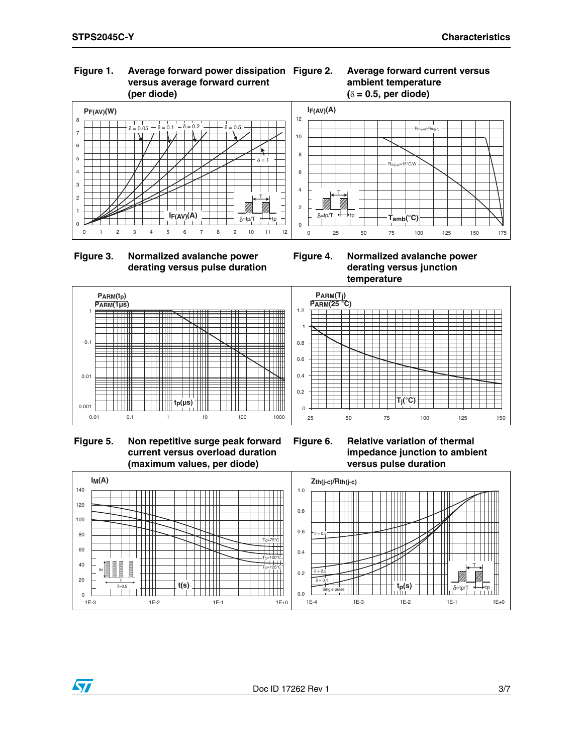**Figure 2. Average forward current versus** 

**ambient temperature** 

### **Figure 1. Average forward power dissipation versus average forward current (per diode)**



 **Figure 3. Normalized avalanche power derating versus pulse duration**

**Figure 4. Normalized avalanche power derating versus junction temperature**



 **Figure 5. Non repetitive surge peak forward current versus overload duration (maximum values, per diode)**

ST

**Figure 6. Relative variation of thermal impedance junction to ambient versus pulse duration**

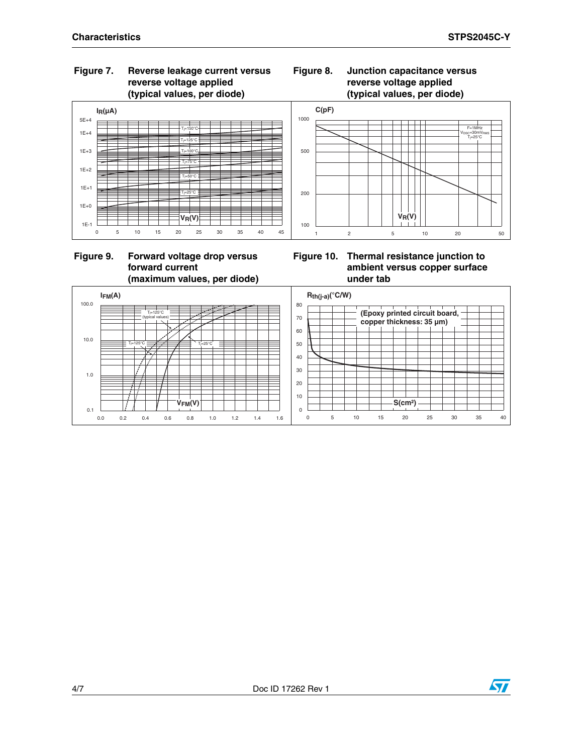### **Figure 7. Reverse leakage current versus reverse voltage applied (typical values, per diode)**



### **Figure 9. Forward voltage drop versus forward current (maximum values, per diode)**

### **Figure 8. Junction capacitance versus reverse voltage applied (typical values, per diode)**



**Figure 10. Thermal resistance junction to ambient versus copper surface under tab**



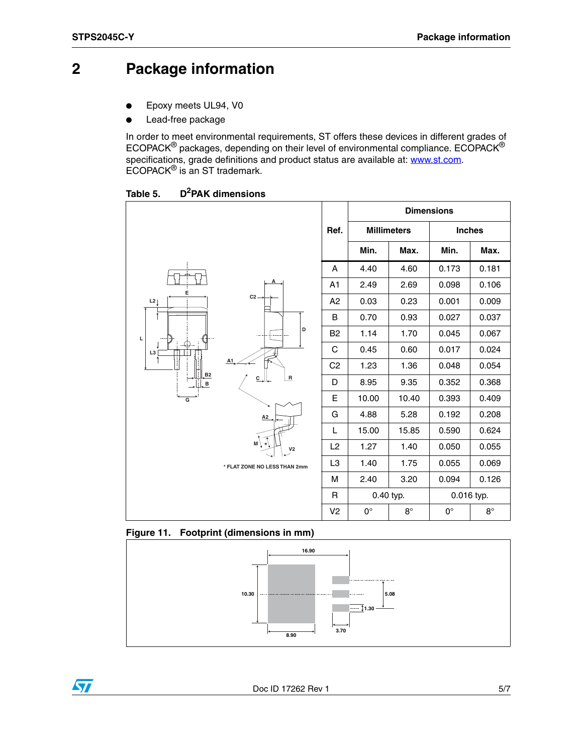57

## **2 Package information**

- Epoxy meets UL94, V0
- Lead-free package

In order to meet environmental requirements, ST offers these devic[es in differen](http://www.st.com)t grades of ECOPACK $^{\circledR}$  packages, depending on their level of environmental compliance. ECOPACK $^{\circledR}$ specifications, grade definitions and product status are available at: **www.st.com**. ECOPACK® is an ST trademark.

| Table 5. | D <sup>2</sup> PAK dimensions |
|----------|-------------------------------|
|          |                               |

|                                                           |                                 |                | <b>Dimensions</b>  |           |               |           |
|-----------------------------------------------------------|---------------------------------|----------------|--------------------|-----------|---------------|-----------|
|                                                           |                                 | Ref.           | <b>Millimeters</b> |           | <b>Inches</b> |           |
|                                                           |                                 |                | Min.               | Max.      | Min.          | Max.      |
|                                                           |                                 | Α              | 4.40               | 4.60      | 0.173         | 0.181     |
| E                                                         | А                               | A <sub>1</sub> | 2.49               | 2.69      | 0.098         | 0.106     |
| L2                                                        | $C2 -$                          | A2             | 0.03               | 0.23      | 0.001         | 0.009     |
|                                                           |                                 | B              | 0.70               | 0.93      | 0.027         | 0.037     |
| L                                                         | D                               | B <sub>2</sub> | 1.14               | 1.70      | 0.045         | 0.067     |
| L3                                                        |                                 | C              | 0.45               | 0.60      | 0.017         | 0.024     |
| A1<br>B2<br>$\overline{R}$<br>$c_{\perp}$<br>$\, {\bf B}$ | C <sub>2</sub>                  | 1.23           | 1.36               | 0.048     | 0.054         |           |
|                                                           | D                               | 8.95           | 9.35               | 0.352     | 0.368         |           |
| G                                                         |                                 | E              | 10.00              | 10.40     | 0.393         | 0.409     |
|                                                           | A2                              | G              | 4.88               | 5.28      | 0.192         | 0.208     |
|                                                           |                                 | L              | 15.00              | 15.85     | 0.590         | 0.624     |
|                                                           | $M \setminus$<br>V <sub>2</sub> | L <sub>2</sub> | 1.27               | 1.40      | 0.050         | 0.055     |
|                                                           | * FLAT ZONE NO LESS THAN 2mm    | L <sub>3</sub> | 1.40               | 1.75      | 0.055         | 0.069     |
|                                                           |                                 | м              | 2.40               | 3.20      | 0.094         | 0.126     |
|                                                           |                                 | R              | 0.40 typ.          |           | 0.016 typ.    |           |
|                                                           |                                 | V <sub>2</sub> | $0^{\circ}$        | $8^\circ$ | $0^{\circ}$   | $8^\circ$ |

### **Figure 11. Footprint (dimensions in mm)**

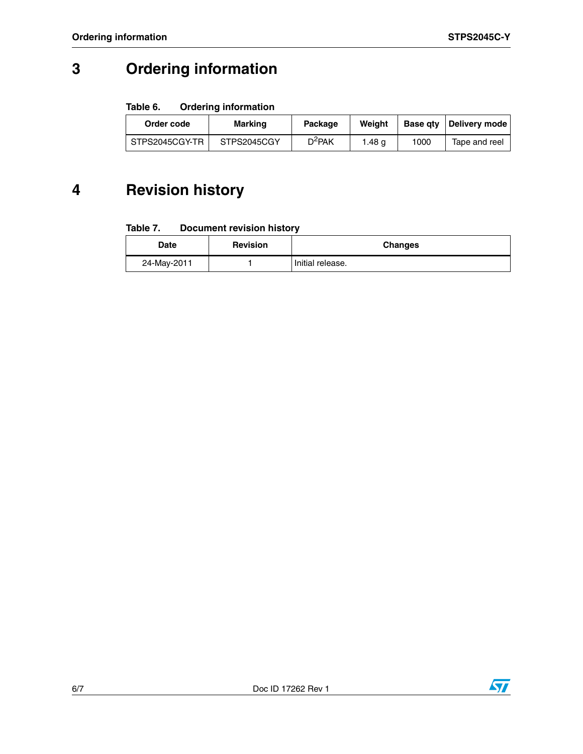## **3 Ordering information**

#### Table 6. **Ordering information**

| Order code     | <b>Marking</b> | Package   | Weight |      | Base gty   Delivery mode |
|----------------|----------------|-----------|--------|------|--------------------------|
| STPS2045CGY-TR | STPS2045CGY    | $D^2$ PAK | l.48 a | 1000 | Tape and reel            |

## **4 Revision history**

#### Table 7. **Document revision history**

| Date        | <b>Revision</b> | <b>Changes</b>   |
|-------------|-----------------|------------------|
| 24-May-2011 |                 | Initial release. |